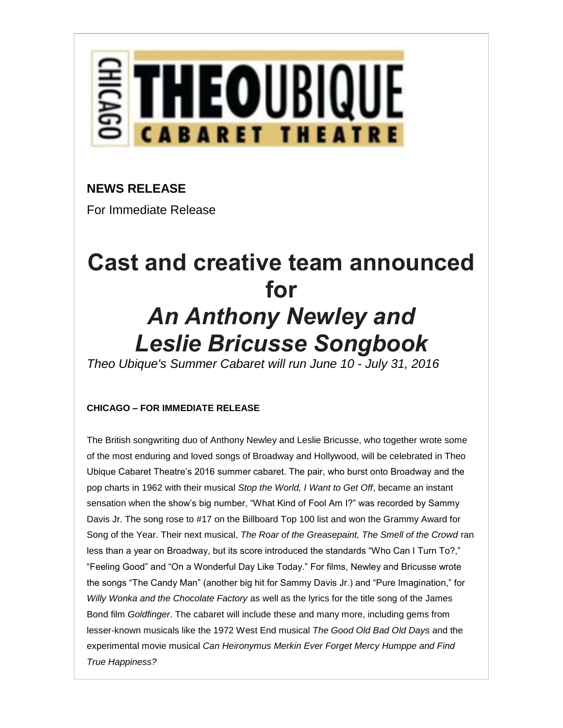

## **NEWS RELEASE**

For Immediate Release

# **Cast and creative team announced for** *An Anthony Newley and Leslie Bricusse Songbook*

*Theo Ubique's Summer Cabaret will run June 10 - July 31, 2016*

### **CHICAGO – FOR IMMEDIATE RELEASE**

The British songwriting duo of Anthony Newley and Leslie Bricusse, who together wrote some of the most enduring and loved songs of Broadway and Hollywood, will be celebrated in Theo Ubique Cabaret Theatre's 2016 summer cabaret. The pair, who burst onto Broadway and the pop charts in 1962 with their musical *Stop the World, I Want to Get Off*, became an instant sensation when the show's big number, "What Kind of Fool Am I?" was recorded by Sammy Davis Jr. The song rose to #17 on the Billboard Top 100 list and won the Grammy Award for Song of the Year. Their next musical, *The Roar of the Greasepaint, The Smell of the Crowd* ran less than a year on Broadway, but its score introduced the standards "Who Can I Turn To?," "Feeling Good" and "On a Wonderful Day Like Today." For films, Newley and Bricusse wrote the songs "The Candy Man" (another big hit for Sammy Davis Jr.) and "Pure Imagination," for *Willy Wonka and the Chocolate Factory* as well as the lyrics for the title song of the James Bond film *Goldfinger*. The cabaret will include these and many more, including gems from lesser-known musicals like the 1972 West End musical *The Good Old Bad Old Days* and the experimental movie musical *Can Heironymus Merkin Ever Forget Mercy Humppe and Find True Happiness?*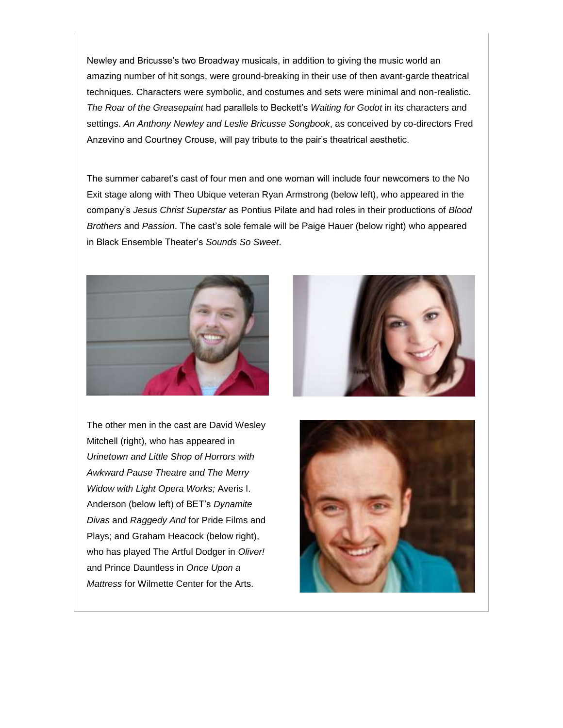Newley and Bricusse's two Broadway musicals, in addition to giving the music world an amazing number of hit songs, were ground-breaking in their use of then avant-garde theatrical techniques. Characters were symbolic, and costumes and sets were minimal and non-realistic. *The Roar of the Greasepaint* had parallels to Beckett's *Waiting for Godot* in its characters and settings. *An Anthony Newley and Leslie Bricusse Songbook*, as conceived by co-directors Fred Anzevino and Courtney Crouse, will pay tribute to the pair's theatrical aesthetic.

The summer cabaret's cast of four men and one woman will include four newcomers to the No Exit stage along with Theo Ubique veteran Ryan Armstrong (below left), who appeared in the company's *Jesus Christ Superstar* as Pontius Pilate and had roles in their productions of *Blood Brothers* and *Passion*. The cast's sole female will be Paige Hauer (below right) who appeared in Black Ensemble Theater's *Sounds So Sweet*.



The other men in the cast are David Wesley Mitchell (right), who has appeared in *Urinetown and Little Shop of Horrors with Awkward Pause Theatre and The Merry Widow with Light Opera Works;* Averis I. Anderson (below left) of BET's *Dynamite Divas* and *Raggedy And* for Pride Films and Plays; and Graham Heacock (below right), who has played The Artful Dodger in *Oliver!* and Prince Dauntless in *Once Upon a Mattress* for Wilmette Center for the Arts.



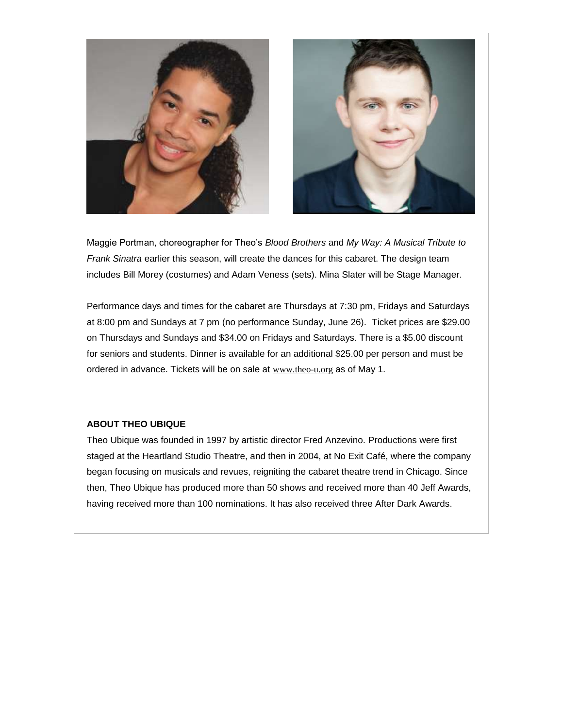



Maggie Portman, choreographer for Theo's *Blood Brothers* and *My Way: A Musical Tribute to Frank Sinatra* earlier this season, will create the dances for this cabaret. The design team includes Bill Morey (costumes) and Adam Veness (sets). Mina Slater will be Stage Manager.

Performance days and times for the cabaret are Thursdays at 7:30 pm, Fridays and Saturdays at 8:00 pm and Sundays at 7 pm (no performance Sunday, June 26). Ticket prices are \$29.00 on Thursdays and Sundays and \$34.00 on Fridays and Saturdays. There is a \$5.00 discount for seniors and students. Dinner is available for an additional \$25.00 per person and must be ordered in advance. Tickets will be on sale at [www.theo-u.org](http://theoubique.us2.list-manage.com/track/click?u=ac0adbdba7393984c7572fb99&id=9dda81c173&e=6450333246) as of May 1.

#### **ABOUT THEO UBIQUE**

Theo Ubique was founded in 1997 by artistic director Fred Anzevino. Productions were first staged at the Heartland Studio Theatre, and then in 2004, at No Exit Café, where the company began focusing on musicals and revues, reigniting the cabaret theatre trend in Chicago. Since then, Theo Ubique has produced more than 50 shows and received more than 40 Jeff Awards, having received more than 100 nominations. It has also received three After Dark Awards.